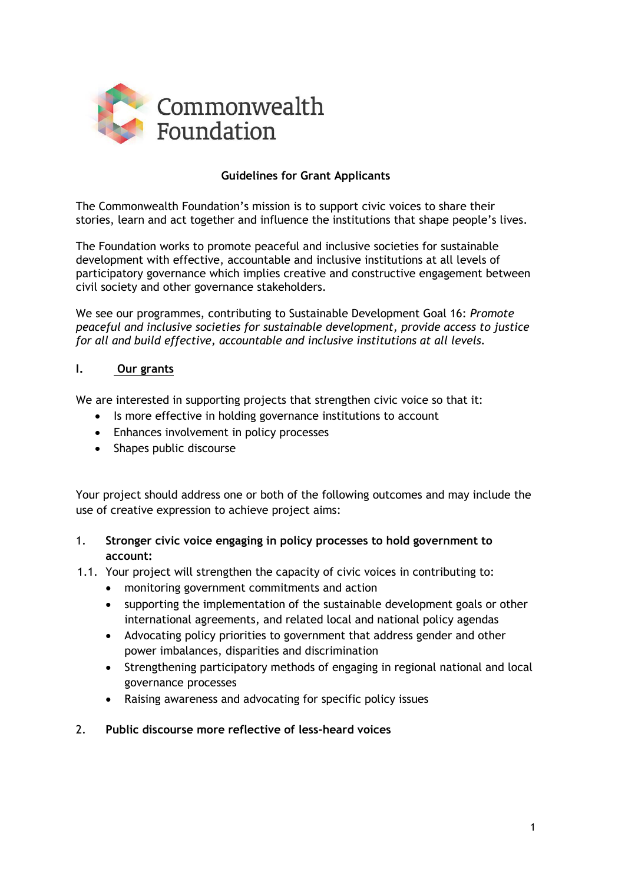

## **Guidelines for Grant Applicants**

The Commonwealth Foundation's mission is to support civic voices to share their stories, learn and act together and influence the institutions that shape people's lives.

The Foundation works to promote peaceful and inclusive societies for sustainable development with effective, accountable and inclusive institutions at all levels of participatory governance which implies creative and constructive engagement between civil society and other governance stakeholders.

We see our programmes, contributing to Sustainable Development Goal 16: *Promote peaceful and inclusive societies for sustainable development, provide access to justice for all and build effective, accountable and inclusive institutions at all levels.*

#### **I. Our grants**

We are interested in supporting projects that strengthen civic voice so that it:

- Is more effective in holding governance institutions to account
- Enhances involvement in policy processes
- Shapes public discourse

Your project should address one or both of the following outcomes and may include the use of creative expression to achieve project aims:

#### 1. **Stronger civic voice engaging in policy processes to hold government to account:**

- 1.1. Your project will strengthen the capacity of civic voices in contributing to:
	- monitoring government commitments and action
	- supporting the implementation of the sustainable development goals or other international agreements, and related local and national policy agendas
	- Advocating policy priorities to government that address gender and other power imbalances, disparities and discrimination
	- Strengthening participatory methods of engaging in regional national and local governance processes
	- Raising awareness and advocating for specific policy issues

#### 2. **Public discourse more reflective of less-heard voices**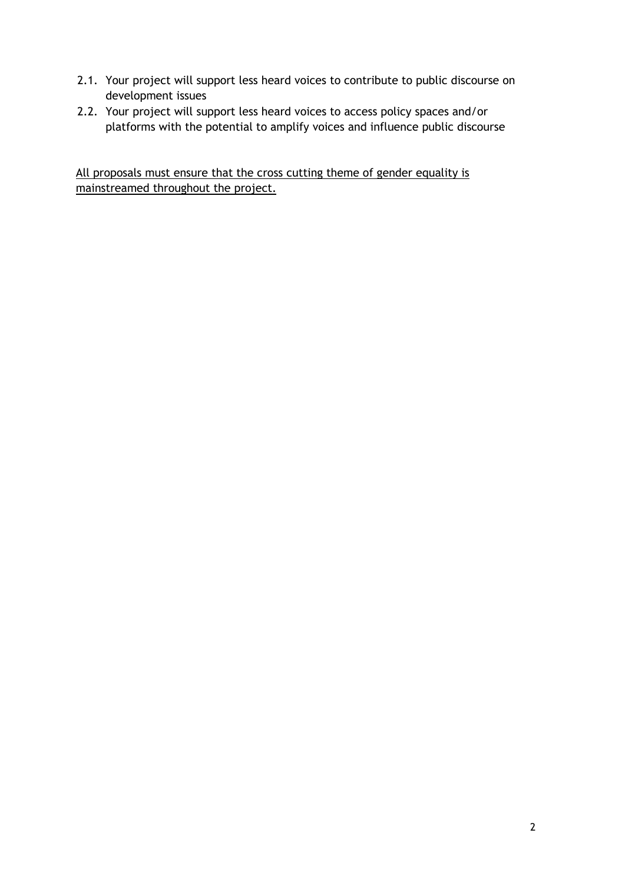- 2.1. Your project will support less heard voices to contribute to public discourse on development issues
- 2.2. Your project will support less heard voices to access policy spaces and/or platforms with the potential to amplify voices and influence public discourse

All proposals must ensure that the cross cutting theme of gender equality is mainstreamed throughout the project.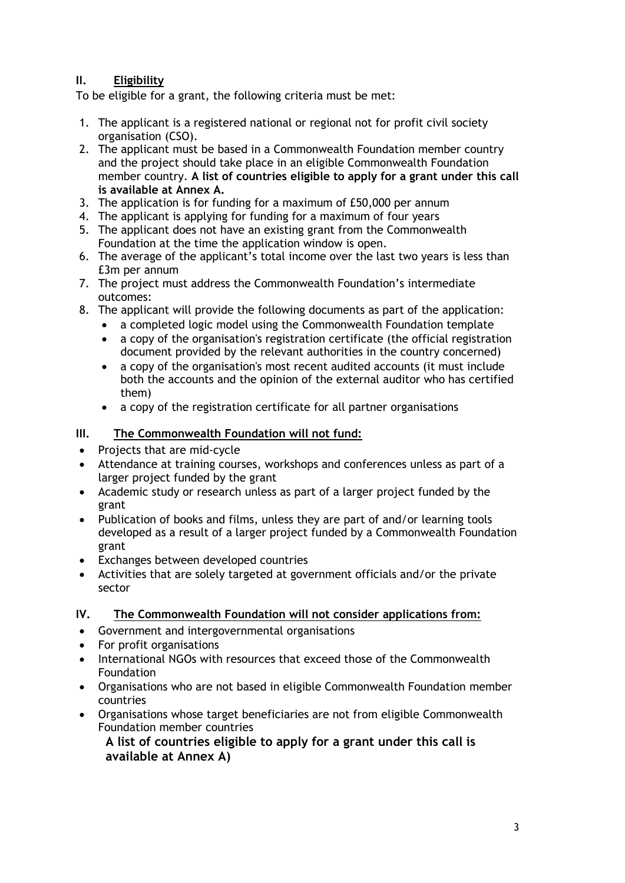# **II. Eligibility**

To be eligible for a grant, the following criteria must be met:

- 1. The applicant is a registered national or regional not for profit civil society organisation (CSO).
- 2. The applicant must be based in a Commonwealth Foundation member country and the project should take place in an eligible Commonwealth Foundation member country. **A list of countries eligible to apply for a grant under this call is available at Annex A.**
- 3. The application is for funding for a maximum of £50,000 per annum
- 4. The applicant is applying for funding for a maximum of four years
- 5. The applicant does not have an existing grant from the Commonwealth Foundation at the time the application window is open.
- 6. The average of the applicant's total income over the last two years is less than £3m per annum
- 7. The project must address the Commonwealth Foundation's intermediate outcomes:
- 8. The applicant will provide the following documents as part of the application:
	- a completed logic model using the Commonwealth Foundation template
	- a copy of the organisation's registration certificate (the official registration document provided by the relevant authorities in the country concerned)
	- a copy of the organisation's most recent audited accounts (it must include both the accounts and the opinion of the external auditor who has certified them)
	- a copy of the registration certificate for all partner organisations
- **III. The Commonwealth Foundation will not fund:**
- Projects that are mid-cycle
- Attendance at training courses, workshops and conferences unless as part of a larger project funded by the grant
- Academic study or research unless as part of a larger project funded by the grant
- Publication of books and films, unless they are part of and/or learning tools developed as a result of a larger project funded by a Commonwealth Foundation grant
- Exchanges between developed countries
- Activities that are solely targeted at government officials and/or the private sector

#### **IV. The Commonwealth Foundation will not consider applications from:**

- Government and intergovernmental organisations
- For profit organisations
- International NGOs with resources that exceed those of the Commonwealth Foundation
- Organisations who are not based in eligible Commonwealth Foundation member countries
- Organisations whose target beneficiaries are not from eligible Commonwealth Foundation member countries

**A list of countries eligible to apply for a grant under this call is available at Annex A)**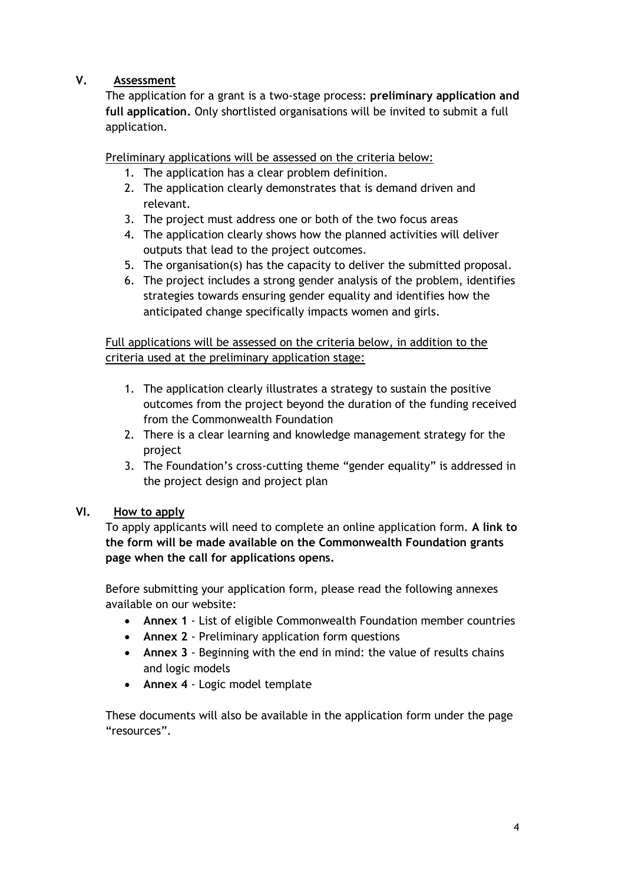# **V. Assessment**

The application for a grant is a two-stage process: **preliminary application and full application.** Only shortlisted organisations will be invited to submit a full application.

Preliminary applications will be assessed on the criteria below:

- 1. The application has a clear problem definition.
- 2. The application clearly demonstrates that is demand driven and relevant.
- 3. The project must address one or both of the two focus areas
- 4. The application clearly shows how the planned activities will deliver outputs that lead to the project outcomes.
- 5. The organisation(s) has the capacity to deliver the submitted proposal.
- 6. The project includes a strong gender analysis of the problem, identifies strategies towards ensuring gender equality and identifies how the anticipated change specifically impacts women and girls.

Full applications will be assessed on the criteria below, in addition to the criteria used at the preliminary application stage:

- 1. The application clearly illustrates a strategy to sustain the positive outcomes from the project beyond the duration of the funding received from the Commonwealth Foundation
- 2. There is a clear learning and knowledge management strategy for the project
- 3. The Foundation's cross-cutting theme "gender equality" is addressed in the project design and project plan

# **VI. How to apply**

To apply applicants will need to complete an online application form. **A link to the form will be made available on the Commonwealth Foundation [grants](http://www.commonwealthfoundation.com/grants)  [page](http://www.commonwealthfoundation.com/grants) when the call for applications opens.**

Before submitting your application form, please read the following annexes available on our website:

- **Annex 1** List of eligible Commonwealth Foundation member countries
- **Annex 2**  Preliminary application form questions
- **Annex 3** Beginning with the end in mind: the value of results chains and logic models
- **Annex 4** Logic model template

These documents will also be available in the application form under the page "resources".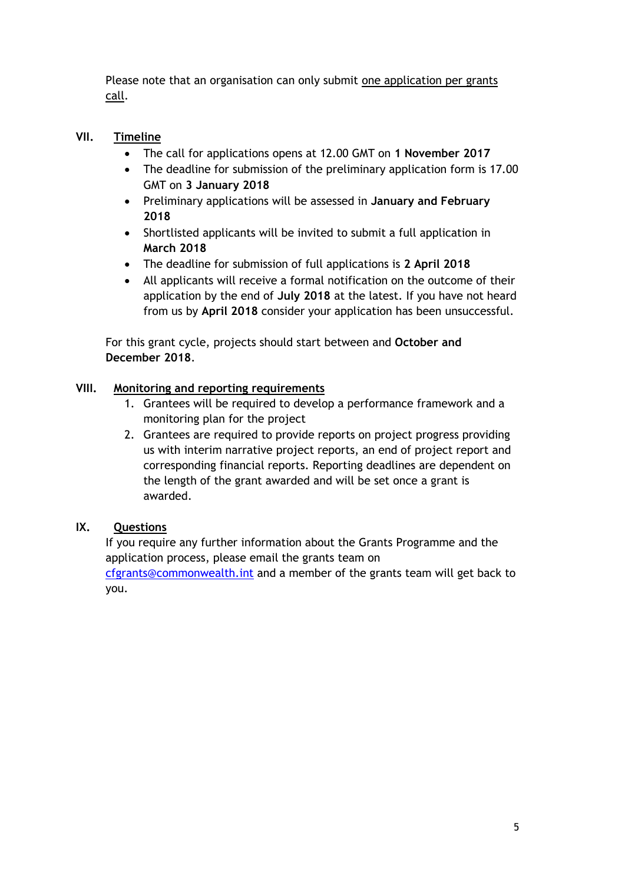Please note that an organisation can only submit one application per grants call.

# **VII. Timeline**

- The call for applications opens at 12.00 GMT on **1 November 2017**
- The deadline for submission of the preliminary application form is 17.00 GMT on **3 January 2018**
- Preliminary applications will be assessed in **January and February 2018**
- Shortlisted applicants will be invited to submit a full application in **March 2018**
- The deadline for submission of full applications is **2 April 2018**
- All applicants will receive a formal notification on the outcome of their application by the end of **July 2018** at the latest. If you have not heard from us by **April 2018** consider your application has been unsuccessful.

For this grant cycle, projects should start between and **October and December 2018**.

# **VIII. Monitoring and reporting requirements**

- 1. Grantees will be required to develop a performance framework and a monitoring plan for the project
- 2. Grantees are required to provide reports on project progress providing us with interim narrative project reports, an end of project report and corresponding financial reports. Reporting deadlines are dependent on the length of the grant awarded and will be set once a grant is awarded.

#### **IX. Questions**

If you require any further information about the Grants Programme and the application process, please email the grants team on [cfgrants@commonwealth.int](mailto:cfgrants@commonwealth.int) and a member of the grants team will get back to

you.